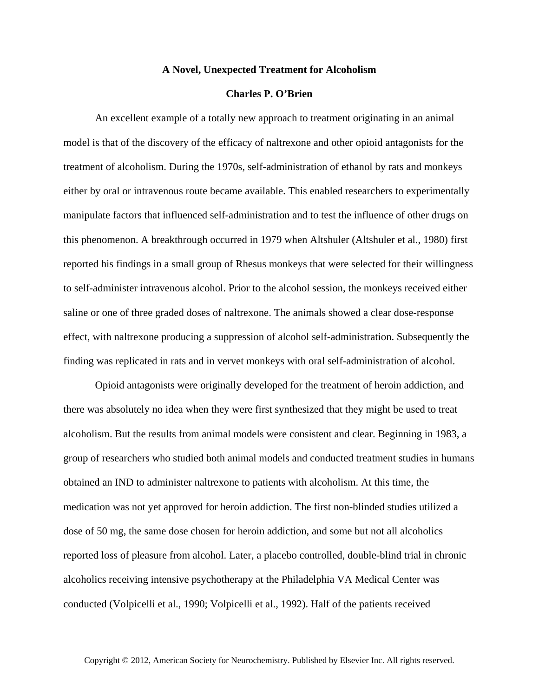## **A Novel, Unexpected Treatment for Alcoholism**

## **Charles P. O'Brien**

An excellent example of a totally new approach to treatment originating in an animal model is that of the discovery of the efficacy of naltrexone and other opioid antagonists for the treatment of alcoholism. During the 1970s, self-administration of ethanol by rats and monkeys either by oral or intravenous route became available. This enabled researchers to experimentally manipulate factors that influenced self-administration and to test the influence of other drugs on this phenomenon. A breakthrough occurred in 1979 when Altshuler (Altshuler et al., 1980) first reported his findings in a small group of Rhesus monkeys that were selected for their willingness to self-administer intravenous alcohol. Prior to the alcohol session, the monkeys received either saline or one of three graded doses of naltrexone. The animals showed a clear dose-response effect, with naltrexone producing a suppression of alcohol self-administration. Subsequently the finding was replicated in rats and in vervet monkeys with oral self-administration of alcohol.

Opioid antagonists were originally developed for the treatment of heroin addiction, and there was absolutely no idea when they were first synthesized that they might be used to treat alcoholism. But the results from animal models were consistent and clear. Beginning in 1983, a group of researchers who studied both animal models and conducted treatment studies in humans obtained an IND to administer naltrexone to patients with alcoholism. At this time, the medication was not yet approved for heroin addiction. The first non-blinded studies utilized a dose of 50 mg, the same dose chosen for heroin addiction, and some but not all alcoholics reported loss of pleasure from alcohol. Later, a placebo controlled, double-blind trial in chronic alcoholics receiving intensive psychotherapy at the Philadelphia VA Medical Center was conducted (Volpicelli et al., 1990; Volpicelli et al., 1992). Half of the patients received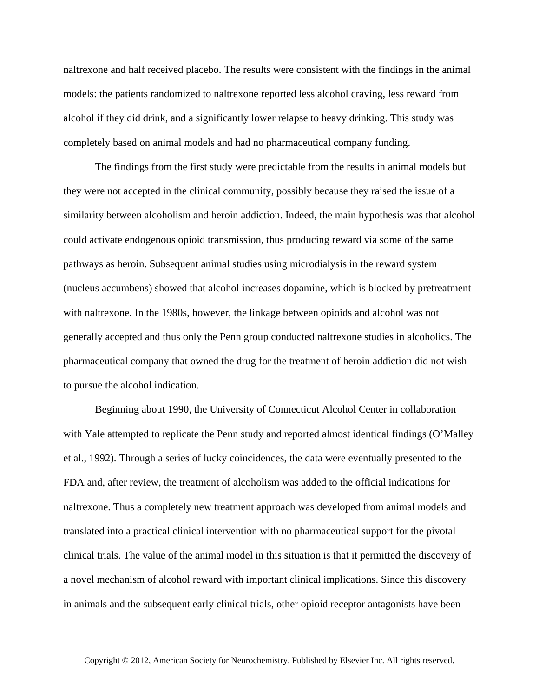naltrexone and half received placebo. The results were consistent with the findings in the animal models: the patients randomized to naltrexone reported less alcohol craving, less reward from alcohol if they did drink, and a significantly lower relapse to heavy drinking. This study was completely based on animal models and had no pharmaceutical company funding.

The findings from the first study were predictable from the results in animal models but they were not accepted in the clinical community, possibly because they raised the issue of a similarity between alcoholism and heroin addiction. Indeed, the main hypothesis was that alcohol could activate endogenous opioid transmission, thus producing reward via some of the same pathways as heroin. Subsequent animal studies using microdialysis in the reward system (nucleus accumbens) showed that alcohol increases dopamine, which is blocked by pretreatment with naltrexone. In the 1980s, however, the linkage between opioids and alcohol was not generally accepted and thus only the Penn group conducted naltrexone studies in alcoholics. The pharmaceutical company that owned the drug for the treatment of heroin addiction did not wish to pursue the alcohol indication.

Beginning about 1990, the University of Connecticut Alcohol Center in collaboration with Yale attempted to replicate the Penn study and reported almost identical findings (O'Malley et al., 1992). Through a series of lucky coincidences, the data were eventually presented to the FDA and, after review, the treatment of alcoholism was added to the official indications for naltrexone. Thus a completely new treatment approach was developed from animal models and translated into a practical clinical intervention with no pharmaceutical support for the pivotal clinical trials. The value of the animal model in this situation is that it permitted the discovery of a novel mechanism of alcohol reward with important clinical implications. Since this discovery in animals and the subsequent early clinical trials, other opioid receptor antagonists have been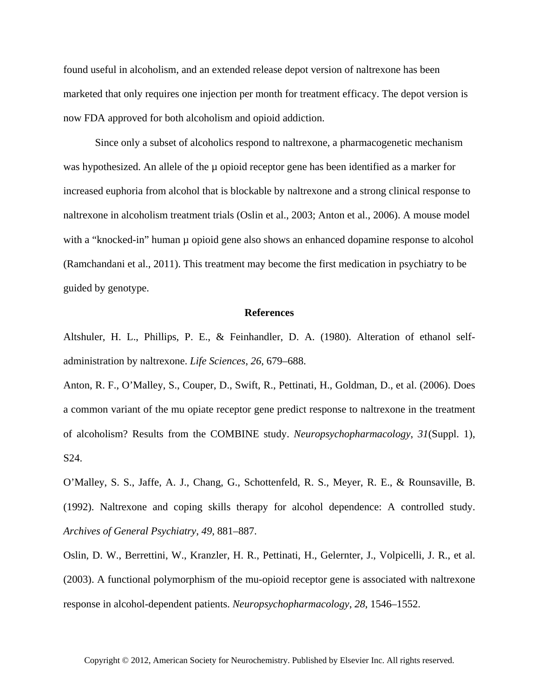found useful in alcoholism, and an extended release depot version of naltrexone has been marketed that only requires one injection per month for treatment efficacy. The depot version is now FDA approved for both alcoholism and opioid addiction.

Since only a subset of alcoholics respond to naltrexone, a pharmacogenetic mechanism was hypothesized. An allele of the  $\mu$  opioid receptor gene has been identified as a marker for increased euphoria from alcohol that is blockable by naltrexone and a strong clinical response to naltrexone in alcoholism treatment trials (Oslin et al., 2003; Anton et al., 2006). A mouse model with a "knocked-in" human  $\mu$  opioid gene also shows an enhanced dopamine response to alcohol (Ramchandani et al., 2011). This treatment may become the first medication in psychiatry to be guided by genotype.

## **References**

Altshuler, H. L., Phillips, P. E., & Feinhandler, D. A. (1980). Alteration of ethanol selfadministration by naltrexone. *Life Sciences*, *26*, 679–688.

Anton, R. F., O'Malley, S., Couper, D., Swift, R., Pettinati, H., Goldman, D., et al. (2006). Does a common variant of the mu opiate receptor gene predict response to naltrexone in the treatment of alcoholism? Results from the COMBINE study. *Neuropsychopharmacology*, *31*(Suppl. 1), S24.

O'Malley, S. S., Jaffe, A. J., Chang, G., Schottenfeld, R. S., Meyer, R. E., & Rounsaville, B. (1992). Naltrexone and coping skills therapy for alcohol dependence: A controlled study. *Archives of General Psychiatry*, *49*, 881–887.

Oslin, D. W., Berrettini, W., Kranzler, H. R., Pettinati, H., Gelernter, J., Volpicelli, J. R., et al. (2003). A functional polymorphism of the mu-opioid receptor gene is associated with naltrexone response in alcohol-dependent patients. *Neuropsychopharmacology*, *28*, 1546–1552.